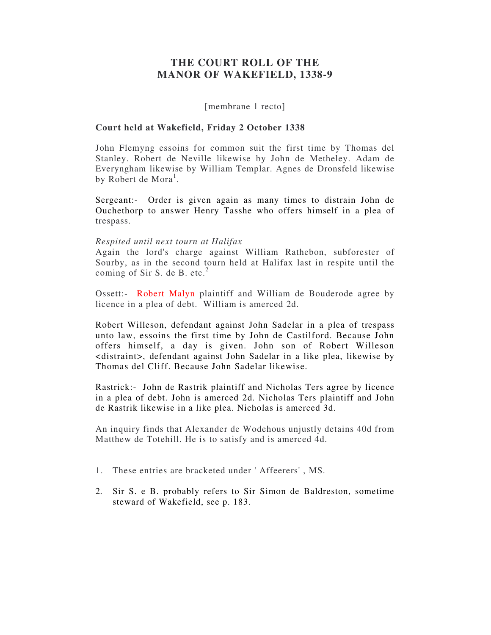# **THE COURT ROLL OF THE MANOR OF WAKEFIELD, 1338-9**

[membrane 1 recto]

# **Court held at Wakefield, Friday 2 October 1338**

John Flemyng essoins for common suit the first time by Thomas del Stanley. Robert de Neville likewise by John de Metheley. Adam de Everyngham likewise by William Templar. Agnes de Dronsfeld likewise by Robert de Mora<sup>1</sup>.

Sergeant:- Order is given again as many times to distrain John de Ouchethorp to answer Henry Tasshe who offers himself in a plea of trespass.

## *Respited until next tourn at Halifax*

Again the lord's charge against William Rathebon, subforester of Sourby, as in the second tourn held at Halifax last in respite until the coming of Sir S. de B. etc.<sup>2</sup>

Ossett:- Robert Malyn plaintiff and William de Bouderode agree by licence in a plea of debt. William is amerced 2d.

Robert Willeson, defendant against John Sadelar in a plea of trespass unto law, essoins the first time by John de Castilford. Because John offers himself, a day is given. John son of Robert Willeson <distraint>, defendant against John Sadelar in a like plea, likewise by Thomas del Cliff. Because John Sadelar likewise.

Rastrick:- John de Rastrik plaintiff and Nicholas Ters agree by licence in a plea of debt. John is amerced 2d. Nicholas Ters plaintiff and John de Rastrik likewise in a like plea. Nicholas is amerced 3d.

An inquiry finds that Alexander de Wodehous unjustly detains 40d from Matthew de Totehill. He is to satisfy and is amerced 4d.

- 1. These entries are bracketed under ' Affeerers' , MS.
- 2. Sir S. e B. probably refers to Sir Simon de Baldreston, sometime steward of Wakefield, see p. 183.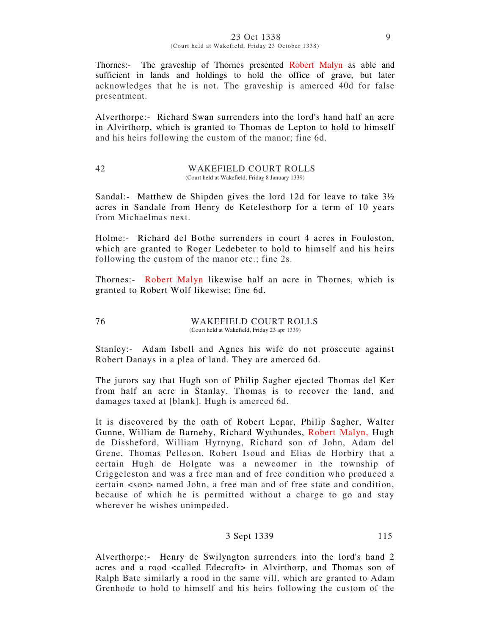#### 23 Oct 1338 9 (Court held at Wakefield, Friday 23 October 1338)

Thornes:- The graveship of Thornes presented Robert Malyn as able and sufficient in lands and holdings to hold the office of grave, but later acknowledges that he is not. The graveship is amerced 40d for false presentment.

Alverthorpe:- Richard Swan surrenders into the lord's hand half an acre in Alvirthorp, which is granted to Thomas de Lepton to hold to himself and his heirs following the custom of the manor; fine 6d.

#### 42 WAKEFIELD COURT ROLLS (Court held at Wakefield, Friday 8 January 1339)

Sandal:- Matthew de Shipden gives the lord 12d for leave to take  $3\frac{1}{2}$ acres in Sandale from Henry de Ketelesthorp for a term of 10 years from Michaelmas next.

Holme:- Richard del Bothe surrenders in court 4 acres in Fouleston, which are granted to Roger Ledebeter to hold to himself and his heirs following the custom of the manor etc.; fine 2s.

Thornes:- Robert Malyn likewise half an acre in Thornes, which is granted to Robert Wolf likewise; fine 6d.

## 76 WAKEFIELD COURT ROLLS (Court held at Wakefield, Friday 23 apr 1339)

Stanley:- Adam Isbell and Agnes his wife do not prosecute against Robert Danays in a plea of land. They are amerced 6d.

The jurors say that Hugh son of Philip Sagher ejected Thomas del Ker from half an acre in Stanlay. Thomas is to recover the land, and damages taxed at [blank]. Hugh is amerced 6d.

It is discovered by the oath of Robert Lepar, Philip Sagher, Walter Gunne, William de Barneby, Richard Wythundes, Robert Malyn, Hugh de Dissheford, William Hyrnyng, Richard son of John, Adam del Grene, Thomas Pelleson, Robert Isoud and Elias de Horbiry that a certain Hugh de Holgate was a newcomer in the township of Criggeleston and was a free man and of free condition who produced a certain <son> named John, a free man and of free state and condition, because of which he is permitted without a charge to go and stay wherever he wishes unimpeded.

# 3 Sept 1339 115

Alverthorpe:- Henry de Swilyngton surrenders into the lord's hand 2 acres and a rood <called Edecroft> in Alvirthorp, and Thomas son of Ralph Bate similarly a rood in the same vill, which are granted to Adam Grenhode to hold to himself and his heirs following the custom of the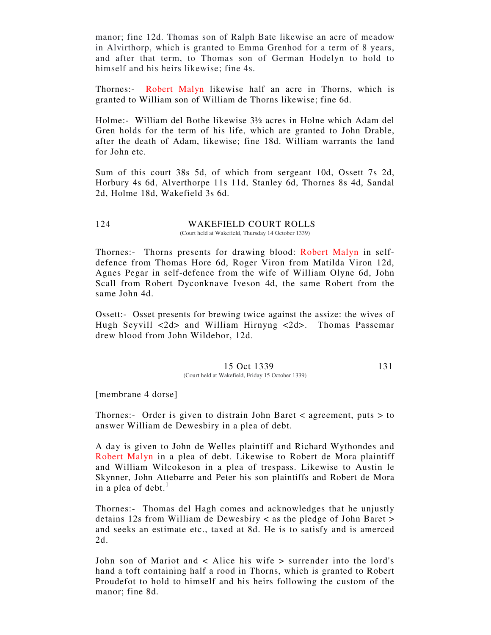manor; fine 12d. Thomas son of Ralph Bate likewise an acre of meadow in Alvirthorp, which is granted to Emma Grenhod for a term of 8 years, and after that term, to Thomas son of German Hodelyn to hold to himself and his heirs likewise; fine 4s.

Thornes:- Robert Malyn likewise half an acre in Thorns, which is granted to William son of William de Thorns likewise; fine 6d.

Holme:- William del Bothe likewise 3½ acres in Holne which Adam del Gren holds for the term of his life, which are granted to John Drable, after the death of Adam, likewise; fine 18d. William warrants the land for John etc.

Sum of this court 38s 5d, of which from sergeant 10d, Ossett 7s 2d, Horbury 4s 6d, Alverthorpe 11s 11d, Stanley 6d, Thornes 8s 4d, Sandal 2d, Holme 18d, Wakefield 3s 6d.

#### 124 WAKEFIELD COURT ROLLS (Court held at Wakefield, Thursday 14 October 1339)

Thornes:- Thorns presents for drawing blood: Robert Malyn in selfdefence from Thomas Hore 6d, Roger Viron from Matilda Viron 12d, Agnes Pegar in self-defence from the wife of William Olyne 6d, John Scall from Robert Dyconknave Iveson 4d, the same Robert from the same John 4d.

Ossett:- Osset presents for brewing twice against the assize: the wives of Hugh Seyvill <2d> and William Hirnyng <2d>. Thomas Passemar drew blood from John Wildebor, 12d.

#### 15 Oct 1339 131 (Court held at Wakefield, Friday 15 October 1339)

[membrane 4 dorse]

Thornes:- Order is given to distrain John Baret < agreement, puts > to answer William de Dewesbiry in a plea of debt.

A day is given to John de Welles plaintiff and Richard Wythondes and Robert Malyn in a plea of debt. Likewise to Robert de Mora plaintiff and William Wilcokeson in a plea of trespass. Likewise to Austin le Skynner, John Attebarre and Peter his son plaintiffs and Robert de Mora in a plea of debt. $<sup>1</sup>$ </sup>

Thornes:- Thomas del Hagh comes and acknowledges that he unjustly detains 12s from William de Dewesbiry < as the pledge of John Baret > and seeks an estimate etc., taxed at 8d. He is to satisfy and is amerced 2d.

John son of Mariot and < Alice his wife > surrender into the lord's hand a toft containing half a rood in Thorns, which is granted to Robert Proudefot to hold to himself and his heirs following the custom of the manor; fine 8d.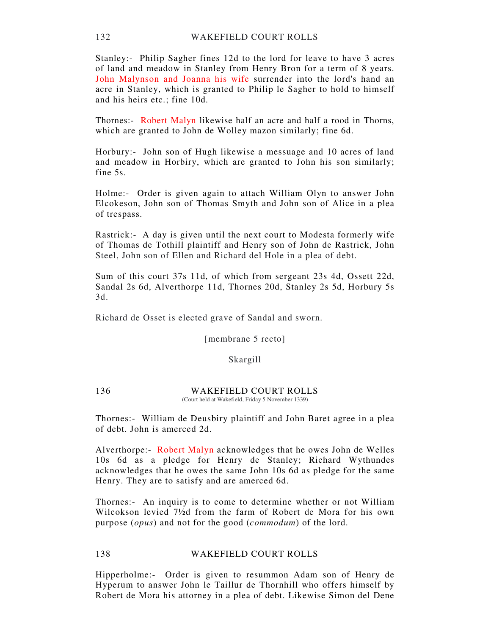Stanley:- Philip Sagher fines 12d to the lord for leave to have 3 acres of land and meadow in Stanley from Henry Bron for a term of 8 years. John Malynson and Joanna his wife surrender into the lord's hand an acre in Stanley, which is granted to Philip le Sagher to hold to himself and his heirs etc.; fine 10d.

Thornes:- Robert Malyn likewise half an acre and half a rood in Thorns, which are granted to John de Wolley mazon similarly; fine 6d.

Horbury:- John son of Hugh likewise a messuage and 10 acres of land and meadow in Horbiry, which are granted to John his son similarly; fine 5s.

Holme:- Order is given again to attach William Olyn to answer John Elcokeson, John son of Thomas Smyth and John son of Alice in a plea of trespass.

Rastrick:- A day is given until the next court to Modesta formerly wife of Thomas de Tothill plaintiff and Henry son of John de Rastrick, John Steel, John son of Ellen and Richard del Hole in a plea of debt.

Sum of this court 37s 11d, of which from sergeant 23s 4d, Ossett 22d, Sandal 2s 6d, Alverthorpe 11d, Thornes 20d, Stanley 2s 5d, Horbury 5s 3d.

Richard de Osset is elected grave of Sandal and sworn.

[membrane 5 recto]

## Skargill

136 WAKEFIELD COURT ROLLS (Court held at Wakefield, Friday 5 November 1339)

Thornes:- William de Deusbiry plaintiff and John Baret agree in a plea of debt. John is amerced 2d.

Alverthorpe:- Robert Malyn acknowledges that he owes John de Welles 10s 6d as a pledge for Henry de Stanley; Richard Wythundes acknowledges that he owes the same John 10s 6d as pledge for the same Henry. They are to satisfy and are amerced 6d.

Thornes:- An inquiry is to come to determine whether or not William Wilcokson levied 7½d from the farm of Robert de Mora for his own purpose (*opus*) and not for the good (*commodum*) of the lord.

## 138 WAKEFIELD COURT ROLLS

Hipperholme:- Order is given to resummon Adam son of Henry de Hyperum to answer John le Taillur de Thornhill who offers himself by Robert de Mora his attorney in a plea of debt. Likewise Simon del Dene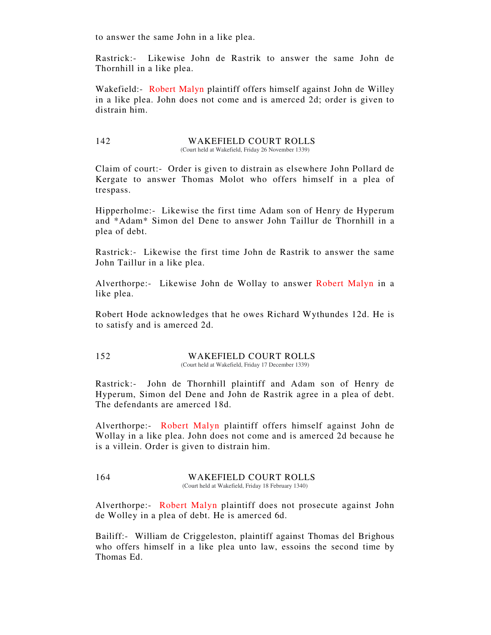to answer the same John in a like plea.

Rastrick:- Likewise John de Rastrik to answer the same John de Thornhill in a like plea.

Wakefield:- Robert Malyn plaintiff offers himself against John de Willey in a like plea. John does not come and is amerced 2d; order is given to distrain him.

142 WAKEFIELD COURT ROLLS (Court held at Wakefield, Friday 26 November 1339)

Claim of court:- Order is given to distrain as elsewhere John Pollard de Kergate to answer Thomas Molot who offers himself in a plea of trespass.

Hipperholme:- Likewise the first time Adam son of Henry de Hyperum and \*Adam\* Simon del Dene to answer John Taillur de Thornhill in a plea of debt.

Rastrick:- Likewise the first time John de Rastrik to answer the same John Taillur in a like plea.

Alverthorpe:- Likewise John de Wollay to answer Robert Malyn in a like plea.

Robert Hode acknowledges that he owes Richard Wythundes 12d. He is to satisfy and is amerced 2d.

# 152 WAKEFIELD COURT ROLLS

(Court held at Wakefield, Friday 17 December 1339)

Rastrick:- John de Thornhill plaintiff and Adam son of Henry de Hyperum, Simon del Dene and John de Rastrik agree in a plea of debt. The defendants are amerced 18d.

Alverthorpe:- Robert Malyn plaintiff offers himself against John de Wollay in a like plea. John does not come and is amerced 2d because he is a villein. Order is given to distrain him.

## 164 WAKEFIELD COURT ROLLS

(Court held at Wakefield, Friday 18 February 1340)

Alverthorpe:- Robert Malyn plaintiff does not prosecute against John de Wolley in a plea of debt. He is amerced 6d.

Bailiff:- William de Criggeleston, plaintiff against Thomas del Brighous who offers himself in a like plea unto law, essoins the second time by Thomas Ed.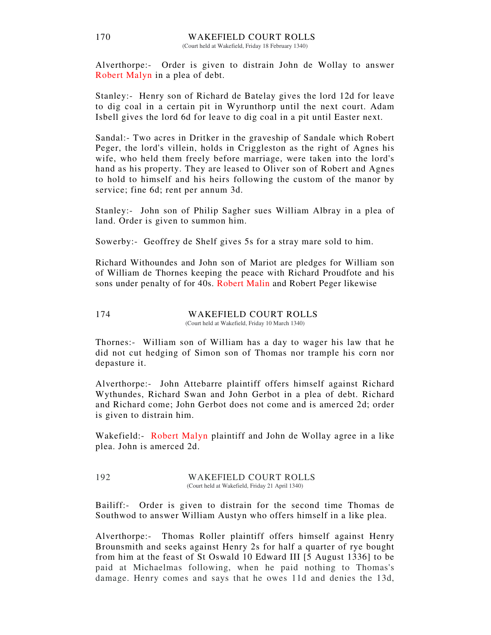Alverthorpe:- Order is given to distrain John de Wollay to answer Robert Malyn in a plea of debt.

Stanley:- Henry son of Richard de Batelay gives the lord 12d for leave to dig coal in a certain pit in Wyrunthorp until the next court. Adam Isbell gives the lord 6d for leave to dig coal in a pit until Easter next.

Sandal:- Two acres in Dritker in the graveship of Sandale which Robert Peger, the lord's villein, holds in Criggleston as the right of Agnes his wife, who held them freely before marriage, were taken into the lord's hand as his property. They are leased to Oliver son of Robert and Agnes to hold to himself and his heirs following the custom of the manor by service; fine 6d; rent per annum 3d.

Stanley:- John son of Philip Sagher sues William Albray in a plea of land. Order is given to summon him.

Sowerby:- Geoffrey de Shelf gives 5s for a stray mare sold to him.

Richard Withoundes and John son of Mariot are pledges for William son of William de Thornes keeping the peace with Richard Proudfote and his sons under penalty of for 40s. Robert Malin and Robert Peger likewise

#### 174 WAKEFIELD COURT ROLLS (Court held at Wakefield, Friday 10 March 1340)

Thornes:- William son of William has a day to wager his law that he did not cut hedging of Simon son of Thomas nor trample his corn nor depasture it.

Alverthorpe:- John Attebarre plaintiff offers himself against Richard Wythundes, Richard Swan and John Gerbot in a plea of debt. Richard and Richard come; John Gerbot does not come and is amerced 2d; order is given to distrain him.

Wakefield: Robert Malyn plaintiff and John de Wollay agree in a like plea. John is amerced 2d.

192 WAKEFIELD COURT ROLLS (Court held at Wakefield, Friday 21 April 1340)

Bailiff:- Order is given to distrain for the second time Thomas de Southwod to answer William Austyn who offers himself in a like plea.

Alverthorpe:- Thomas Roller plaintiff offers himself against Henry Brounsmith and seeks against Henry 2s for half a quarter of rye bought from him at the feast of St Oswald 10 Edward III [5 August 1336] to be paid at Michaelmas following, when he paid nothing to Thomas's damage. Henry comes and says that he owes 11d and denies the 13d,